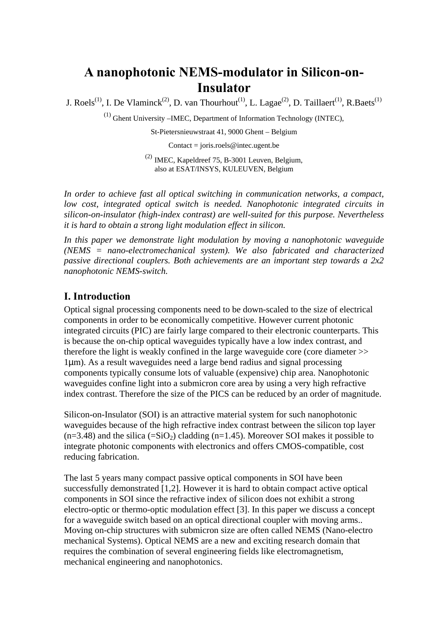# **A nanophotonic NEMS-modulator in Silicon-on-Insulator**

J. Roels<sup>(1)</sup>, I. De Vlaminck<sup>(2)</sup>, D. van Thourhout<sup>(1)</sup>, L. Lagae<sup>(2)</sup>, D. Taillaert<sup>(1)</sup>, R.Baets<sup>(1)</sup>

(1) Ghent University –IMEC, Department of Information Technology (INTEC),

St-Pietersnieuwstraat 41, 9000 Ghent – Belgium

Contact = joris.roels@intec.ugent.be

(2) IMEC, Kapeldreef 75, B-3001 Leuven, Belgium, also at ESAT/INSYS, KULEUVEN, Belgium

*In order to achieve fast all optical switching in communication networks, a compact, low cost, integrated optical switch is needed. Nanophotonic integrated circuits in silicon-on-insulator (high-index contrast) are well-suited for this purpose. Nevertheless it is hard to obtain a strong light modulation effect in silicon.* 

In this paper we demonstrate light modulation by moving a nanophotonic waveguide *(NEMS = nano-electromechanical system). We also fabricated and characterized passive directional couplers. Both achievements are an important step towards a 2x2 nanophotonic NEMS-switch.* 

# **I. Introduction**

Optical signal processing components need to be down-scaled to the size of electrical components in order to be economically competitive. However current photonic integrated circuits (PIC) are fairly large compared to their electronic counterparts. This is because the on-chip optical waveguides typically have a low index contrast, and therefore the light is weakly confined in the large waveguide core (core diameter >> 1µm). As a result waveguides need a large bend radius and signal processing components typically consume lots of valuable (expensive) chip area. Nanophotonic waveguides confine light into a submicron core area by using a very high refractive index contrast. Therefore the size of the PICS can be reduced by an order of magnitude.

Silicon-on-Insulator (SOI) is an attractive material system for such nanophotonic waveguides because of the high refractive index contrast between the silicon top layer  $(n=3.48)$  and the silica  $(=SiO<sub>2</sub>)$  cladding  $(n=1.45)$ . Moreover SOI makes it possible to integrate photonic components with electronics and offers CMOS-compatible, cost reducing fabrication.

The last 5 years many compact passive optical components in SOI have been successfully demonstrated [1,2]. However it is hard to obtain compact active optical components in SOI since the refractive index of silicon does not exhibit a strong electro-optic or thermo-optic modulation effect [3]. In this paper we discuss a concept for a waveguide switch based on an optical directional coupler with moving arms.. Moving on-chip structures with submicron size are often called NEMS (Nano-electro mechanical Systems). Optical NEMS are a new and exciting research domain that requires the combination of several engineering fields like electromagnetism, mechanical engineering and nanophotonics.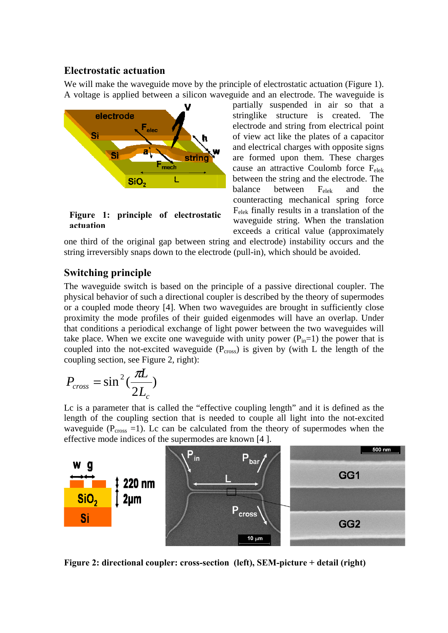# **Electrostatic actuation**

We will make the waveguide move by the principle of electrostatic actuation (Figure 1). A voltage is applied between a silicon waveguide and an electrode. The waveguide is



**Figure 1: principle of electrostatic actuation**

partially suspended in air so that a stringlike structure is created. The electrode and string from electrical point of view act like the plates of a capacitor and electrical charges with opposite signs are formed upon them. These charges cause an attractive Coulomb force Felek between the string and the electrode. The balance between  $F_{elek}$  and the counteracting mechanical spring force Felek finally results in a translation of the waveguide string. When the translation exceeds a critical value (approximately

one third of the original gap between string and electrode) instability occurs and the string irreversibly snaps down to the electrode (pull-in), which should be avoided.

# **Switching principle**

The waveguide switch is based on the principle of a passive directional coupler. The physical behavior of such a directional coupler is described by the theory of supermodes or a coupled mode theory [4]. When two waveguides are brought in sufficiently close proximity the mode profiles of their guided eigenmodes will have an overlap. Under that conditions a periodical exchange of light power between the two waveguides will take place. When we excite one waveguide with unity power  $(P_{in}=1)$  the power that is coupled into the not-excited waveguide  $(P_{cross})$  is given by (with L the length of the coupling section, see Figure 2, right):

$$
P_{cross} = \sin^2(\frac{\pi L}{2L_c})
$$

Lc is a parameter that is called the "effective coupling length" and it is defined as the length of the coupling section that is needed to couple all light into the not-excited waveguide ( $P<sub>cross</sub> = 1$ ). Lc can be calculated from the theory of supermodes when the effective mode indices of the supermodes are known [4 ].



**Figure 2: directional coupler: cross-section (left), SEM-picture + detail (right)**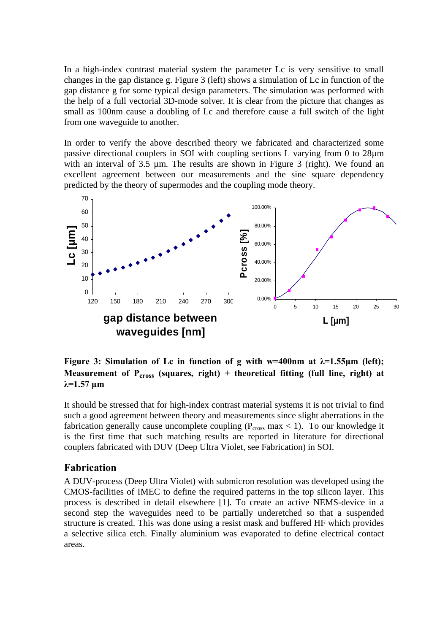In a high-index contrast material system the parameter Lc is very sensitive to small changes in the gap distance g. Figure 3 (left) shows a simulation of Lc in function of the gap distance g for some typical design parameters. The simulation was performed with the help of a full vectorial 3D-mode solver. It is clear from the picture that changes as small as 100nm cause a doubling of Lc and therefore cause a full switch of the light from one waveguide to another.

In order to verify the above described theory we fabricated and characterized some passive directional couplers in SOI with coupling sections L varying from 0 to 28µm with an interval of 3.5 um. The results are shown in Figure 3 (right). We found an excellent agreement between our measurements and the sine square dependency predicted by the theory of supermodes and the coupling mode theory.



**Figure 3: Simulation of Lc in function of g with w=400nm at**  $\lambda$ **=1.55** $\mu$ **m (left); Measurement of**  $P_{cross}$  **(squares, right)** + theoretical fitting (full line, right) at **λ=1.57 µm** 

It should be stressed that for high-index contrast material systems it is not trivial to find such a good agreement between theory and measurements since slight aberrations in the fabrication generally cause uncomplete coupling ( $P_{cross}$  max < 1). To our knowledge it is the first time that such matching results are reported in literature for directional couplers fabricated with DUV (Deep Ultra Violet, see Fabrication) in SOI.

#### **Fabrication**

A DUV-process (Deep Ultra Violet) with submicron resolution was developed using the CMOS-facilities of IMEC to define the required patterns in the top silicon layer. This process is described in detail elsewhere [1]. To create an active NEMS-device in a second step the waveguides need to be partially underetched so that a suspended structure is created. This was done using a resist mask and buffered HF which provides a selective silica etch. Finally aluminium was evaporated to define electrical contact areas.